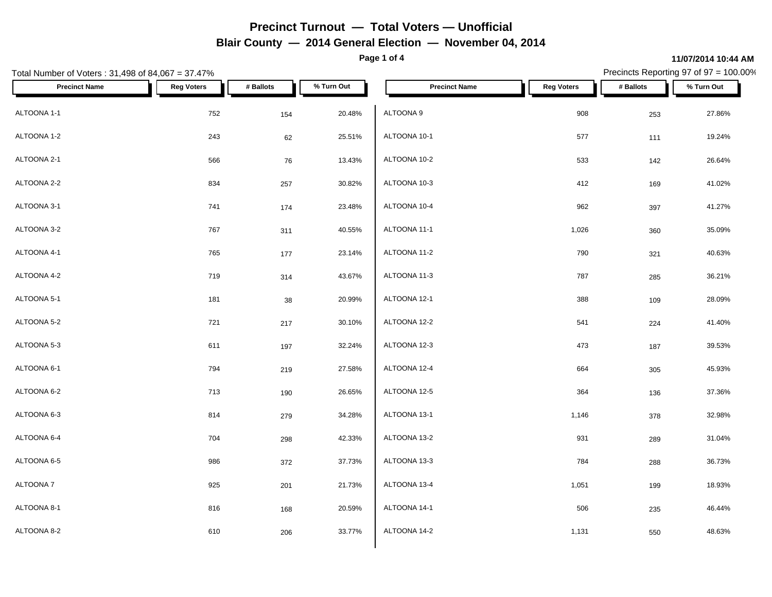**Page 1 of 4**

#### Total Number of Voters : 31,498 of 84,067 = 37.47% Precincts Reporting 97 of 97 = 100.00% **Precinct Name Reg Voters # Ballots % Turn Out Precinct Name Reg Voters # Ballots % Turn Out** ALTOONA 1-1 752 154 20.48% ALTOONA 1-2  $243$   $62$   $25.51\%$   $ALTOONA$  10-1 ALTOONA 2-1  $\begin{array}{cccc} 566 & 76 & 13.43\%\\ \end{array}$  ALTOONA 10-2 ALTOONA 2-2 834 257 30.82% ALTOONA 3-1 741 174 23.48% ALTOONA 3-2 767 311 40.55% ALTOONA 4-1 765 177 23.14% ALTOONA 4-2 719 314 43.67% ALTOONA 5-1 181 38 20.99% ALTOONA 5-2 721 217 30.10% ALTOONA 5-3 611 197 32.24% ALTOONA 6-1 794 219 27.58% ALTOONA 6-2 713 190 26.65% ALTOONA 6-3 814 279 34.28% ALTOONA 6-4 704 298 42.33% ALTOONA 6-5 986 372 37.73% ALTOONA 7 925 201 21.73% ALTOONA 8-1 816 168 20.59% ALTOONA 8-2 610 610 206 33.77% ALTOONA 14-2  $ALTOONA 9$   $253$   $27.86\%$ ALTOONA 10-1 577 111 19.24% ALTOONA 10-2 533 142 26.64% ALTOONA 10-3 412 169 41.02% ALTOONA 10-4 962 397 41.27% ALTOONA 11-1 1,026 360 35.09% ALTOONA 11-2 200 321 40.63% ALTOONA 11-3 787 285 36.21% ALTOONA 12-1 388 109 28.09% ALTOONA 12-2 541 224 41.40% ALTOONA 12-3 473 187 39.53% ALTOONA 12-4 664 305 45.93% ALTOONA 12-5 364 136 37.36% ALTOONA 13-1 1,146 378 32.98% ALTOONA 13-2 931 289 31.04% ALTOONA 13-3 784 288 36.73% ALTOONA 13-4 1,051 199 18.93% ALTOONA 14-1 506 235 46.44% ALTOONA 14-2 2001 1,131 550 48.63%

**11/07/2014 10:44 AM**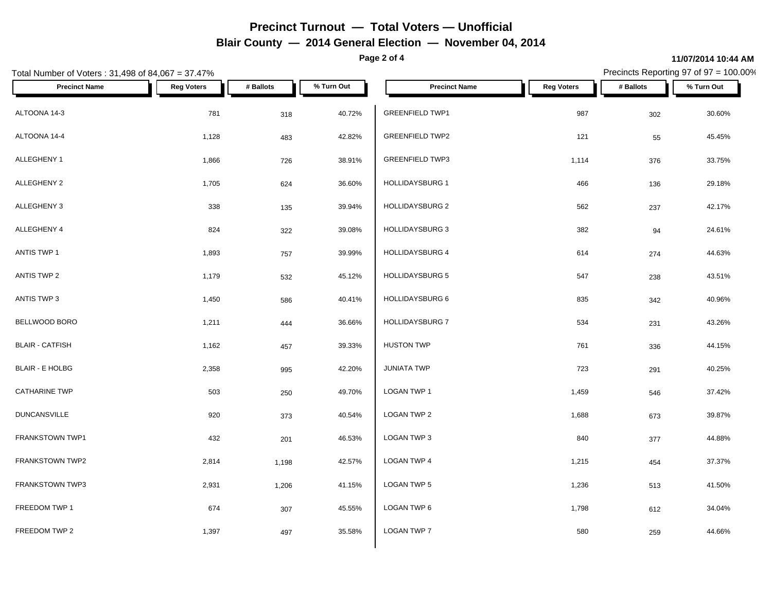**Page 2 of 4**

### Total Number of Voters : 31,498 of 84,067 = 37.47% Precincts Reporting 97 of 97 = 100.00% **Precinct Name Reg Voters # Ballots % Turn Out Precinct Name Reg Voters # Ballots % Turn Out** ALTOONA 14-3 781 318 40.72% GREENFIELD TWP1 987 302 30.60% ALTOONA 14-4 1,128 483 42.82% GREENFIELD TWP2 121 55 45.45% ALLEGHENY 1 1,866 726 38.91% GREENFIELD TWP3 ALLEGHENY 2 1,705 624 36.60% ALLEGHENY 3 338 135 39.94% HOLLIDAYSBURG 2 562 237 42.17% ALLEGHENY 4 824 322 39.08% | HOLLIDAYSBURG 3 ANTIS TWP 1 1,893 1,893 757 39.99% HOLLIDAYSBURG 4 ANTIS TWP 2 1,179 532 45.12% HOLLIDAYSBURG 5 ANTIS TWP 3 1,450 586 40.41% BELLWOOD BORO 1,211 444 36.66% BLAIR - CATFISH 1,162 457 39.33% BLAIR - E HOLBG 2,358 995 42.20% CATHARINE TWP 503 250 49.70% DUNCANSVILLE 920 373 40.54% FRANKSTOWN TWP1 **1200** 432 201 46.53% LOGAN TWP 3 FRANKSTOWN TWP2 2,814 2,814 1,198 42.57% LOGAN TWP 4 FRANKSTOWN TWP3 2,931 2,931 1,206 41.15% LOGAN TWP 5 FREEDOM TWP 1  $674$   $674$   $307$   $45.55\%$   $LOGAN TWP 6$ FREEDOM TWP 2 1,397 497 35.58% GREENFIELD TWP3 1,114 376 33.75%  $HOLLIDAYSBURG1$  and the set of  $466$  and  $466$  and  $436$  and  $29.18\%$  $HOLLIDAYSBURG$  3  $382$   $94$   $24.61\%$ HOLLIDAYSBURG 4 614 274 44.63%  $HOLLIDAYSBURG 5$   $547$   $238$   $43.51\%$ HOLLIDAYSBURG 6 835 342 40.96% HOLLIDAYSBURG 7 534 231 43.26% HUSTON TWP 761 336 44.15% JUNIATA TWP 723 291 40.25%  $\,$  LOGAN TWP 1  $\,$  1,459  $\,$  546  $\,$  37.42%  $\,$  $\,$  LOGAN TWP 2  $\,$   $\,$  1,688  $\,$  673  $\,$  39.87%  $\,$  $\,$  LOGAN TWP 3  $\,$   $\,$  840  $\,$   $\,$  377  $\,$   $\,$  44.88%  $\,$  $\textsf{LOGAN} \textsf{TWP} \textsf{4} \textsf{4} \textsf{5} \textsf{1} \textsf{1} \textsf{2} \textsf{1} \textsf{2} \textsf{1} \textsf{3} \textsf{2} \textsf{1} \textsf{3} \textsf{1} \textsf{4} \textsf{3} \textsf{1} \textsf{1} \textsf{3} \textsf{1} \textsf{1} \textsf{2} \textsf{1} \textsf{3} \textsf{1} \textsf{1} \textsf{3} \textsf{1} \textsf{1} \textsf{1} \textsf{1} \textsf{1} \textsf{1} \textsf{1} \text$ LOGAN TWP 5 1,236 513 41.50%  $\,$  LOGAN TWP 6  $\,$  61,798  $\,$  612  $\,$  34.04%  $\,$ LOGAN TWP 7 580 259 44.66%

**11/07/2014 10:44 AM**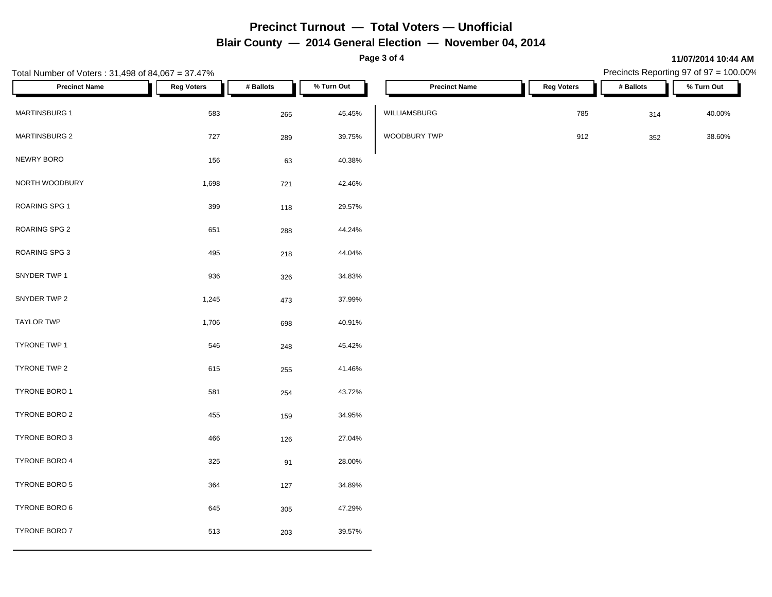**Page 3 of 4**

| Total Number of Voters: 31,498 of 84,067 = 37.47% |                   |           |            |                      | Precincts Reporting 97 of 97 = 100.00% |           |            |  |
|---------------------------------------------------|-------------------|-----------|------------|----------------------|----------------------------------------|-----------|------------|--|
| <b>Precinct Name</b>                              | <b>Reg Voters</b> | # Ballots | % Turn Out | <b>Precinct Name</b> | <b>Reg Voters</b>                      | # Ballots | % Turn Out |  |
| MARTINSBURG 1                                     | 583               | 265       | 45.45%     | WILLIAMSBURG         | 785                                    | 314       | 40.00%     |  |
| <b>MARTINSBURG 2</b>                              | 727               | 289       | 39.75%     | WOODBURY TWP         | 912                                    | 352       | 38.60%     |  |
| NEWRY BORO                                        | 156               | 63        | 40.38%     |                      |                                        |           |            |  |
| NORTH WOODBURY                                    | 1,698             | 721       | 42.46%     |                      |                                        |           |            |  |
| ROARING SPG 1                                     | 399               | 118       | 29.57%     |                      |                                        |           |            |  |
| ROARING SPG 2                                     | 651               | 288       | 44.24%     |                      |                                        |           |            |  |
| ROARING SPG 3                                     | 495               | 218       | 44.04%     |                      |                                        |           |            |  |
| SNYDER TWP 1                                      | 936               | 326       | 34.83%     |                      |                                        |           |            |  |
| SNYDER TWP 2                                      | 1,245             | 473       | 37.99%     |                      |                                        |           |            |  |
| <b>TAYLOR TWP</b>                                 | 1,706             | 698       | 40.91%     |                      |                                        |           |            |  |
| TYRONE TWP 1                                      | 546               | 248       | 45.42%     |                      |                                        |           |            |  |
| TYRONE TWP 2                                      | 615               | 255       | 41.46%     |                      |                                        |           |            |  |
| TYRONE BORO 1                                     | 581               | 254       | 43.72%     |                      |                                        |           |            |  |
| TYRONE BORO 2                                     | 455               | 159       | 34.95%     |                      |                                        |           |            |  |
| TYRONE BORO 3                                     | 466               | 126       | 27.04%     |                      |                                        |           |            |  |
| TYRONE BORO 4                                     | 325               | 91        | 28.00%     |                      |                                        |           |            |  |
| TYRONE BORO 5                                     | 364               | 127       | 34.89%     |                      |                                        |           |            |  |
| TYRONE BORO 6                                     | 645               | 305       | 47.29%     |                      |                                        |           |            |  |
| TYRONE BORO 7                                     | 513               | 203       | 39.57%     |                      |                                        |           |            |  |
|                                                   |                   |           |            |                      |                                        |           |            |  |

#### **11/07/2014 10:44 AM**